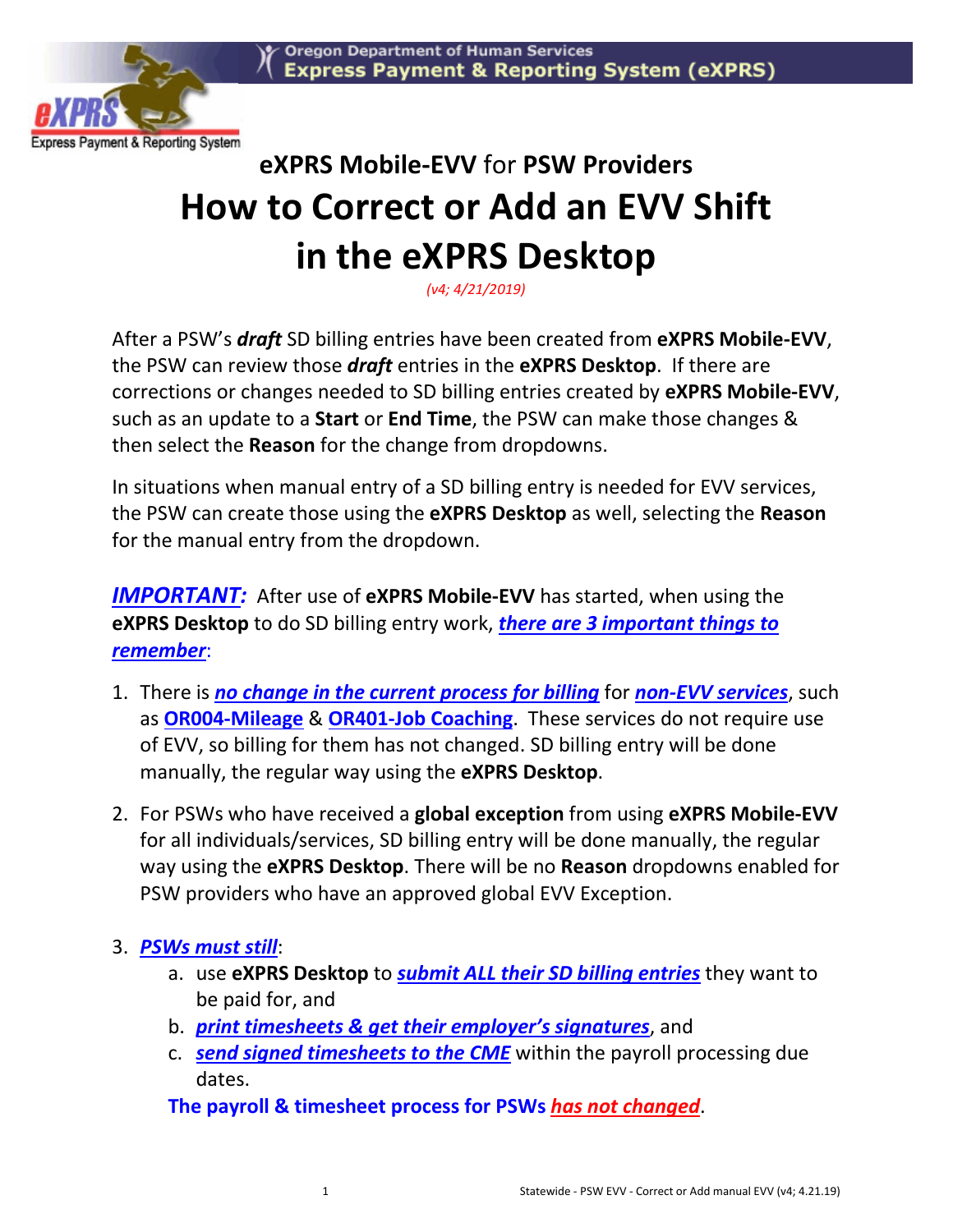

# **eXPRS Mobile-EVV** for **PSW Providers How to Correct or Add an EVV Shift in the eXPRS Desktop**

*(v4; 4/21/2019)*

After a PSW's *draft* SD billing entries have been created from **eXPRS Mobile-EVV**, the PSW can review those *draft* entries in the **eXPRS Desktop**. If there are corrections or changes needed to SD billing entries created by **eXPRS Mobile-EVV**, such as an update to a **Start** or **End Time**, the PSW can make those changes & then select the **Reason** for the change from dropdowns.

In situations when manual entry of a SD billing entry is needed for EVV services, the PSW can create those using the **eXPRS Desktop** as well, selecting the **Reason** for the manual entry from the dropdown.

*IMPORTANT:* After use of **eXPRS Mobile-EVV** has started, when using the **eXPRS Desktop** to do SD billing entry work, *there are 3 important things to remember*:

- 1. There is *no change in the current process for billing* for *non-EVV services*, such as **OR004-Mileage** & **OR401-Job Coaching**. These services do not require use of EVV, so billing for them has not changed. SD billing entry will be done manually, the regular way using the **eXPRS Desktop**.
- 2. For PSWs who have received a **global exception** from using **eXPRS Mobile-EVV** for all individuals/services, SD billing entry will be done manually, the regular way using the **eXPRS Desktop**. There will be no **Reason** dropdowns enabled for PSW providers who have an approved global EVV Exception.

### 3. *PSWs must still*:

- a. use **eXPRS Desktop** to *submit ALL their SD billing entries* they want to be paid for, and
- b. *print timesheets & get their employer's signatures*, and
- c. *send signed timesheets to the CME* within the payroll processing due dates.

**The payroll & timesheet process for PSWs** *has not changed*.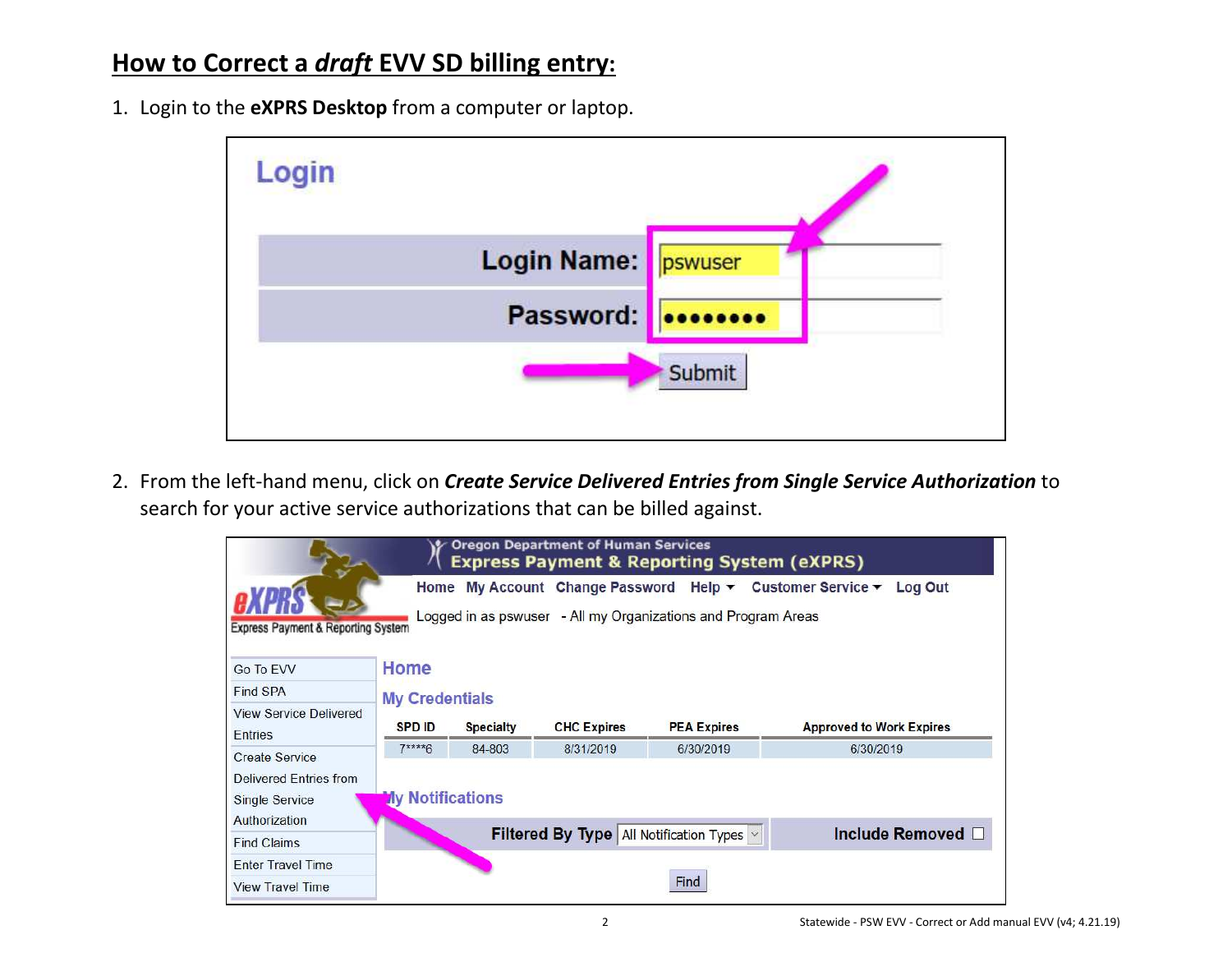# **How to Correct a** *draft* **EVV SD billing entry:**

1. Login to the **eXPRS Desktop** from a computer or laptop.



2. From the left-hand menu, click on *Create Service Delivered Entries from Single Service Authorization* to search for your active service authorizations that can be billed against.

|                                                           |                         |                  | <b>Oregon Department of Human Services</b> | <b>Express Payment &amp; Reporting System (eXPRS)</b>         |                                                                                                            |
|-----------------------------------------------------------|-------------------------|------------------|--------------------------------------------|---------------------------------------------------------------|------------------------------------------------------------------------------------------------------------|
| <b>Express Payment &amp; Reporting System</b>             |                         |                  |                                            | Logged in as pswuser - All my Organizations and Program Areas | Home My Account Change Password Help $\blacktriangledown$ Customer Service $\blacktriangledown$<br>Log Out |
| Go To EVV                                                 | Home                    |                  |                                            |                                                               |                                                                                                            |
| Find SPA                                                  | <b>My Credentials</b>   |                  |                                            |                                                               |                                                                                                            |
| <b>View Service Delivered</b><br>Entries                  | <b>SPD ID</b>           | <b>Specialty</b> | <b>CHC Expires</b>                         | <b>PEA Expires</b>                                            | <b>Approved to Work Expires</b>                                                                            |
| <b>Create Service</b>                                     | $7***6$                 | 84-803           | 8/31/2019                                  | 6/30/2019                                                     | 6/30/2019                                                                                                  |
| Delivered Entries from<br>Single Service<br>Authorization | <b>Ny Notifications</b> |                  |                                            |                                                               |                                                                                                            |
| <b>Find Claims</b>                                        |                         |                  |                                            | Filtered By Type   All Notification Types  v                  | Include Removed □                                                                                          |
| <b>Enter Travel Time</b>                                  |                         |                  |                                            |                                                               |                                                                                                            |
| <b>View Travel Time</b>                                   |                         |                  |                                            | Find                                                          |                                                                                                            |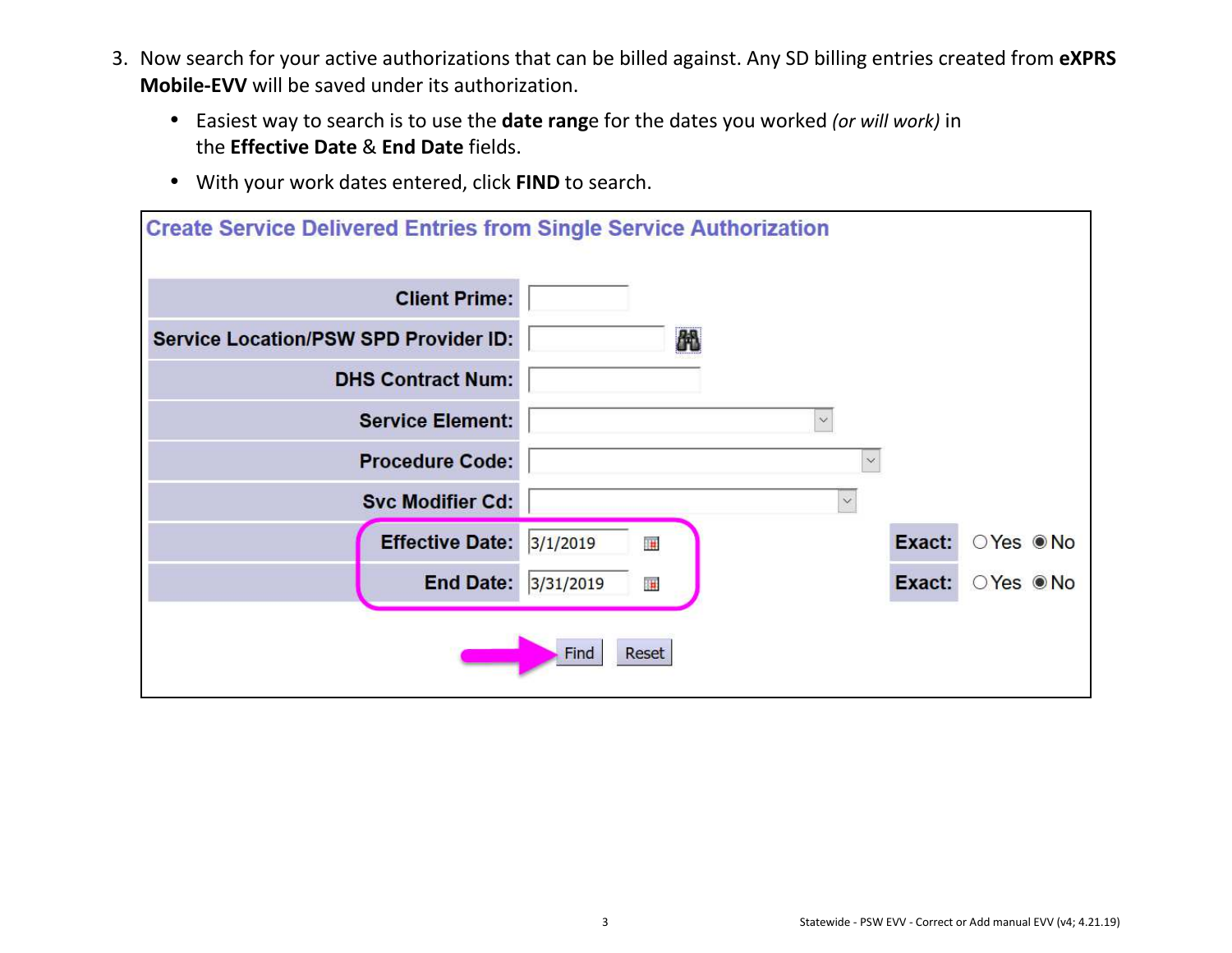- 3. Now search for your active authorizations that can be billed against. Any SD billing entries created from **eXPRS Mobile-EVV** will be saved under its authorization.
	- Easiest way to search is to use the **date rang**e for the dates you worked *(or will work)* in the **Effective Date** & **End Date** fields.
	- With your work dates entered, click **FIND** to search.

| <b>Create Service Delivered Entries from Single Service Authorization</b> |                |              |          |
|---------------------------------------------------------------------------|----------------|--------------|----------|
| <b>Client Prime:</b>                                                      |                |              |          |
| <b>Service Location/PSW SPD Provider ID:</b>                              | 的              |              |          |
| <b>DHS Contract Num:</b>                                                  |                |              |          |
| <b>Service Element:</b>                                                   | $\checkmark$   |              |          |
| <b>Procedure Code:</b>                                                    |                | $\infty$     |          |
| <b>Svc Modifier Cd:</b>                                                   |                | $\checkmark$ |          |
| <b>Effective Date:</b>                                                    | 3/1/2019<br>邇  | Exact:       | ○Yes ●No |
| <b>End Date:</b>                                                          | 3/31/2019<br>編 | Exact:       | ○Yes ●No |
|                                                                           | Reset<br>Find  |              |          |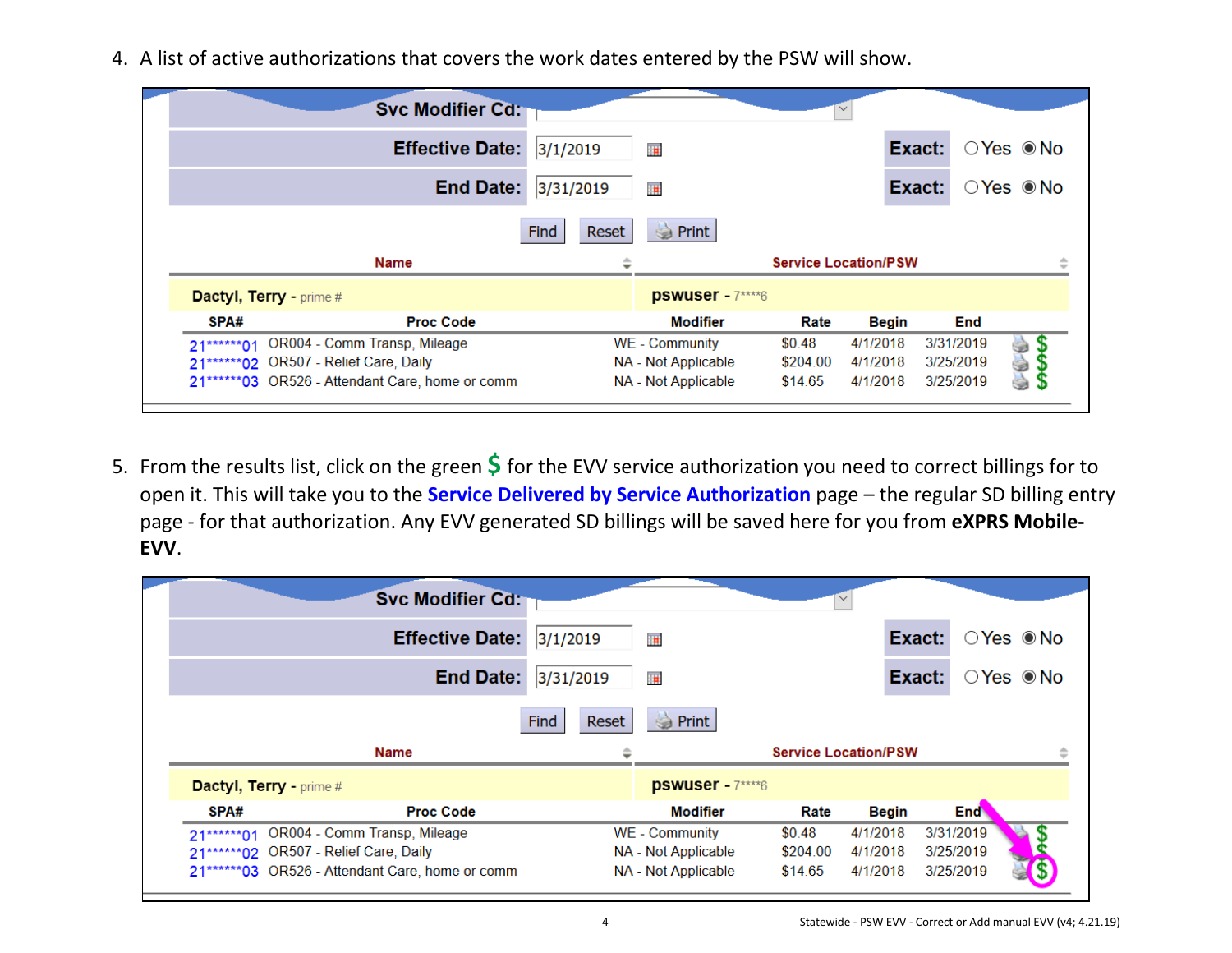4. A list of active authorizations that covers the work dates entered by the PSW will show.

|                                        | <b>Svc Modifier Cd:</b>      |               |                     |                             |          |           |                                  |
|----------------------------------------|------------------------------|---------------|---------------------|-----------------------------|----------|-----------|----------------------------------|
|                                        | <b>Effective Date:</b>       | 3/1/2019      | 围                   |                             |          | Exact:    | $\bigcirc$ Yes $\circledcirc$ No |
|                                        | <b>End Date:</b>             | 3/31/2019     | <b>F</b>            |                             |          | Exact:    | $\bigcirc$ Yes $\circledcirc$ No |
|                                        |                              | Reset<br>Find | à<br>Print          |                             |          |           |                                  |
|                                        | <b>Name</b>                  |               |                     | <b>Service Location/PSW</b> |          |           | 业                                |
| Dactyl, Terry - prime #                |                              |               | pswuser - 7****6    |                             |          |           |                                  |
| SPA#                                   | <b>Proc Code</b>             |               | <b>Modifier</b>     | Rate                        | Begin    | End       |                                  |
|                                        |                              |               | WE - Community      | \$0.48                      | 4/1/2018 | 3/31/2019 |                                  |
| $21****01$                             | OR004 - Comm Transp, Mileage |               |                     |                             |          |           |                                  |
| 21*******02 OR507 - Relief Care, Daily |                              |               | NA - Not Applicable | \$204.00                    | 4/1/2018 | 3/25/2019 |                                  |

5. From the results list, click on the green **\$** for the EVV service authorization you need to correct billings for to open it. This will take you to the **Service Delivered by Service Authorization** page – the regular SD billing entry page - for that authorization. Any EVV generated SD billings will be saved here for you from **eXPRS Mobile-EVV**.

|                                        | <b>Svc Modifier Cd:</b>      |               |                     |          |                             |            |                                  |
|----------------------------------------|------------------------------|---------------|---------------------|----------|-----------------------------|------------|----------------------------------|
|                                        | <b>Effective Date:</b>       | 3/1/2019      | 再                   |          | Exact:                      |            | $\bigcirc$ Yes $\circledcirc$ No |
|                                        | <b>End Date:</b>             | 3/31/2019     | <b>I</b>            |          | Exact:                      |            | $\bigcirc$ Yes $\circledcirc$ No |
|                                        |                              | Reset<br>Find | Print               |          |                             |            |                                  |
|                                        |                              |               |                     |          |                             |            |                                  |
|                                        | Name                         |               |                     |          | <b>Service Location/PSW</b> |            |                                  |
| <b>Dactyl, Terry - prime #</b>         |                              |               | pswuser - 7****6    |          |                             |            |                                  |
| SPA#                                   | <b>Proc Code</b>             |               | <b>Modifier</b>     | Rate     | <b>Begin</b>                | <b>End</b> |                                  |
| $21***01$                              | OR004 - Comm Transp, Mileage |               | WE - Community      | \$0.48   | 4/1/2018                    | 3/31/2019  |                                  |
| 21*******02 OR507 - Relief Care, Daily |                              |               | NA - Not Applicable | \$204.00 | 4/1/2018                    | 3/25/2019  |                                  |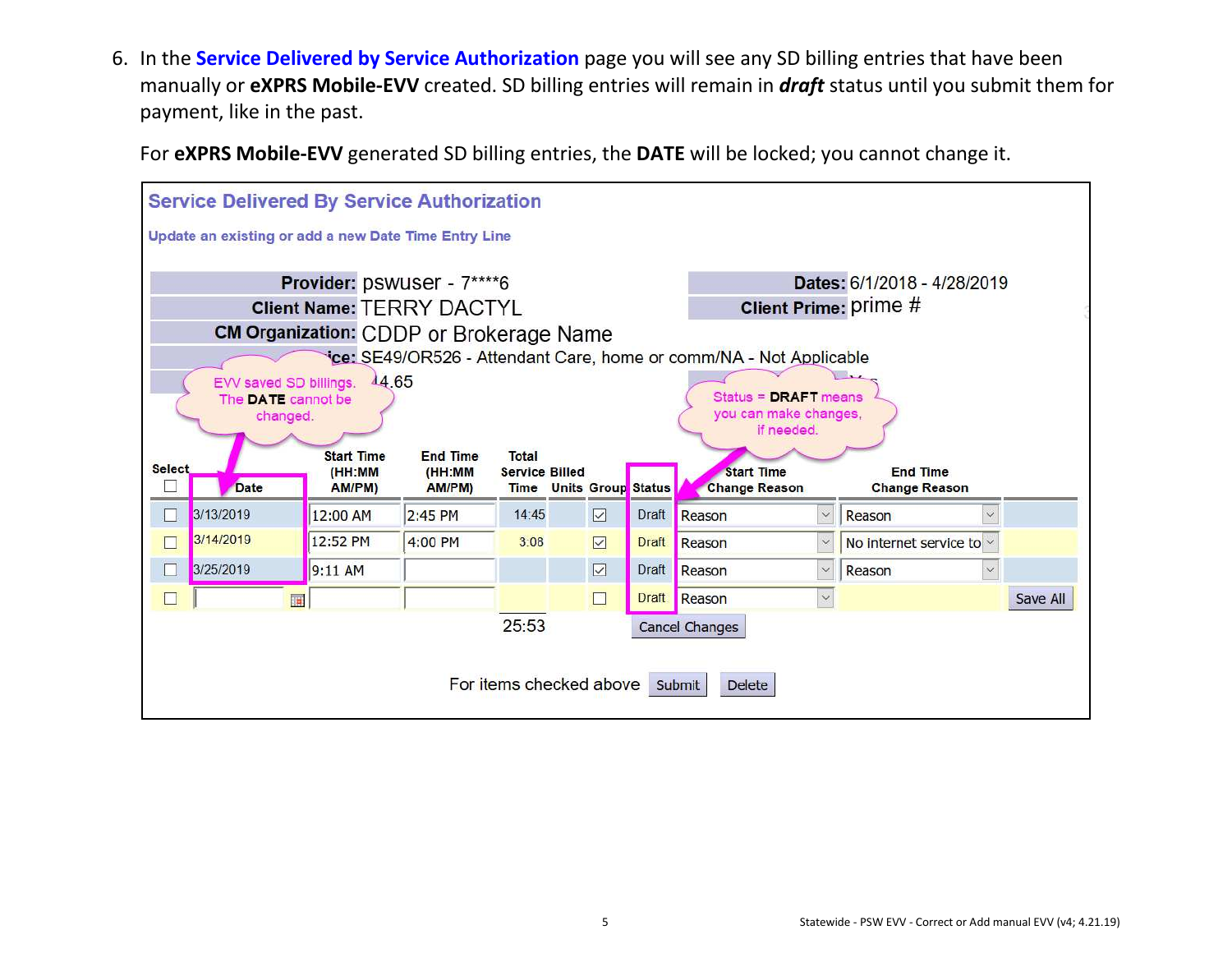6. In the **Service Delivered by Service Authorization** page you will see any SD billing entries that have been manually or **eXPRS Mobile-EVV** created. SD billing entries will remain in *draft* status until you submit them for payment, like in the past.

For **eXPRS Mobile-EVV** generated SD billing entries, the **DATE** will be locked; you cannot change it.

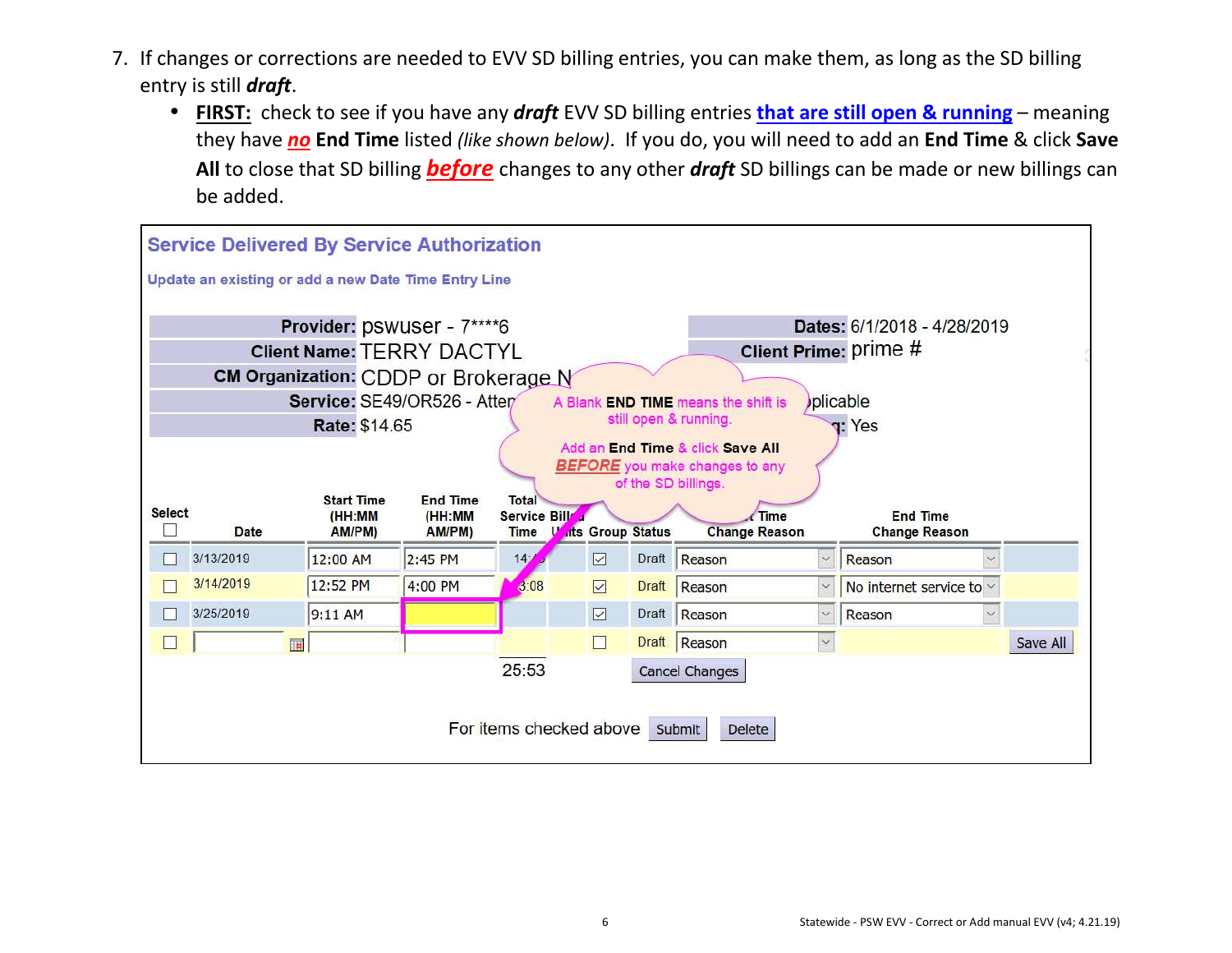- 7. If changes or corrections are needed to EVV SD billing entries, you can make them, as long as the SD billing entry is still *draft*.
	- **FIRST:** check to see if you have any *draft* EVV SD billing entries **that are still open & running** meaning they have *no* **End Time** listed *(like shown below)*. If you do, you will need to add an **End Time** & click **Save All** to close that SD billing *before* changes to any other *draft* SD billings can be made or new billings can be added.

|               | <b>Service Delivered By Service Authorization</b>    |                                  |                  |                             |                         |              |                                                              |              |                                         |              |          |
|---------------|------------------------------------------------------|----------------------------------|------------------|-----------------------------|-------------------------|--------------|--------------------------------------------------------------|--------------|-----------------------------------------|--------------|----------|
|               | Update an existing or add a new Date Time Entry Line |                                  |                  |                             |                         |              |                                                              |              |                                         |              |          |
|               |                                                      | Provider: pswuser - 7****6       |                  |                             |                         |              |                                                              |              | Dates: 6/1/2018 - 4/28/2019             |              |          |
|               |                                                      | <b>Client Name: TERRY DACTYL</b> |                  |                             |                         |              |                                                              |              | Client Prime: prime #                   |              |          |
|               | CM Organization: CDDP or Brokerage N                 |                                  |                  |                             |                         |              |                                                              |              |                                         |              |          |
|               |                                                      | Service: SE49/OR526 - Atten      |                  |                             |                         |              | A Blank END TIME means the shift is                          |              | plicable                                |              |          |
|               |                                                      | <b>Rate: \$14.65</b>             |                  |                             |                         |              | still open & running.                                        |              | <b>q:</b> Yes                           |              |          |
|               |                                                      |                                  |                  |                             |                         |              | Add an End Time & click Save All                             |              |                                         |              |          |
|               |                                                      |                                  |                  |                             |                         |              | <b>BEFORE</b> you make changes to any<br>of the SD billings. |              |                                         |              |          |
| <b>Select</b> |                                                      | <b>Start Time</b>                | <b>End Time</b>  | <b>Total</b>                |                         |              |                                                              |              |                                         |              |          |
|               | Date                                                 | (HH:MM<br>AM/PM)                 | (HH:MM<br>AM/PM) | Service Bill<br><b>Time</b> | <b>Its Group Status</b> |              | Time<br><b>Change Reason</b>                                 |              | <b>End Time</b><br><b>Change Reason</b> |              |          |
|               | 3/13/2019                                            | 12:00 AM                         | 2:45 PM          | 14 <sub>2</sub>             | ☑                       | <b>Draft</b> | Reason                                                       | $\checkmark$ | Reason                                  | $\checkmark$ |          |
|               | 3/14/2019                                            | 12:52 PM                         | 4:00 PM          | 3:08                        | $\boxed{\vee}$          | <b>Draft</b> | Reason                                                       | $\vee$       | No internet service to v                |              |          |
|               | 3/25/2019                                            | 9:11 AM                          |                  |                             | $\boxed{\vee}$          | Draft        | Reason                                                       | $\checkmark$ | Reason                                  | $\checkmark$ |          |
|               | <b>IF</b>                                            |                                  |                  |                             | $\Box$                  | Draft        | Reason                                                       | $\checkmark$ |                                         |              | Save All |
|               |                                                      |                                  |                  | 25:53                       |                         |              | <b>Cancel Changes</b>                                        |              |                                         |              |          |
|               |                                                      |                                  |                  |                             |                         |              |                                                              |              |                                         |              |          |
|               |                                                      |                                  |                  |                             | For items checked above |              | Submit<br><b>Delete</b>                                      |              |                                         |              |          |
|               |                                                      |                                  |                  |                             |                         |              |                                                              |              |                                         |              |          |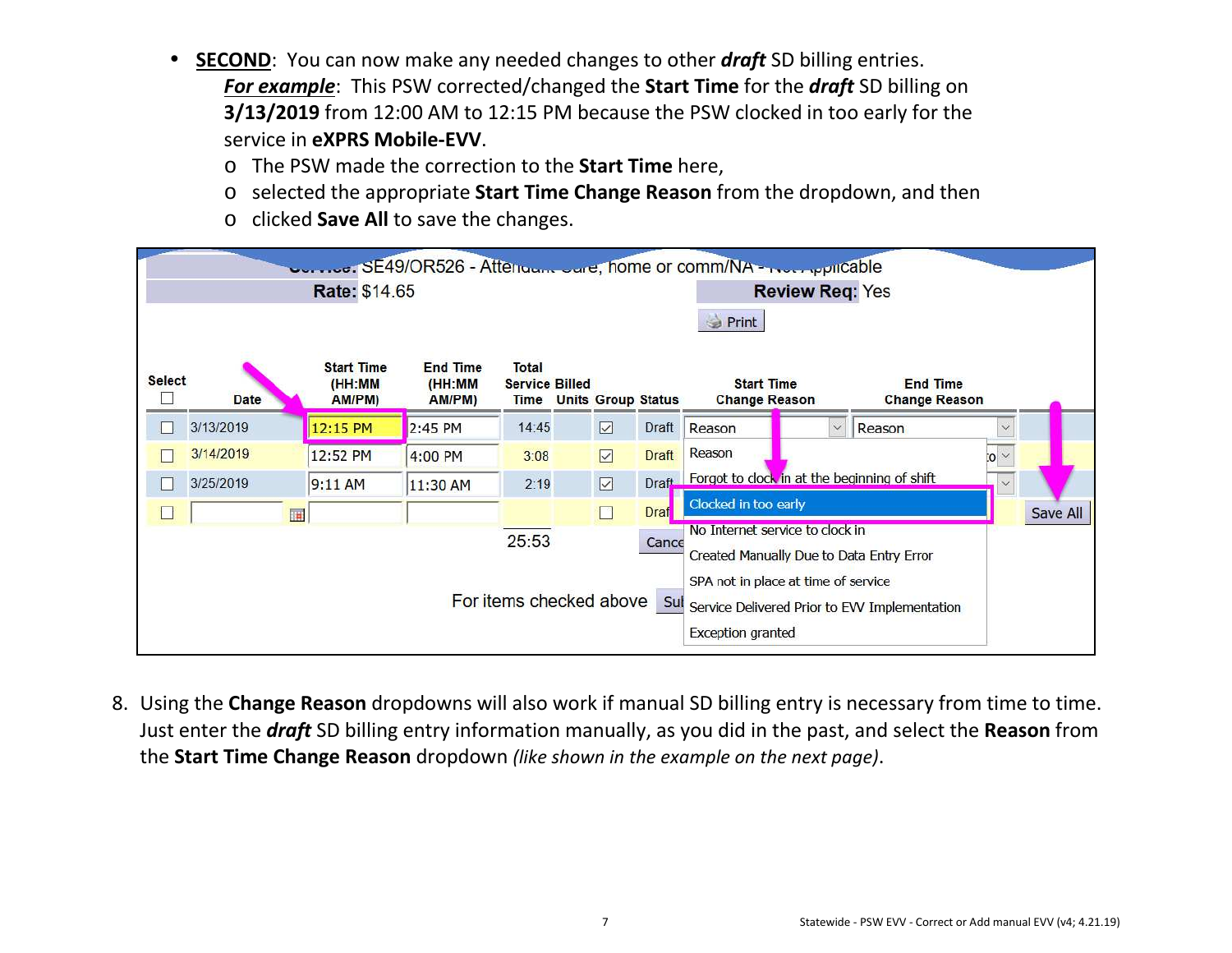- $\bullet$  **SECOND**: You can now make any needed changes to other *draft* SD billing entries. *For example*: This PSW corrected/changed the **Start Time** for the *draft* SD billing on **3/13/2019** from 12:00 AM to 12:15 PM because the PSW clocked in too early for the service in **eXPRS Mobile-EVV**.
	- o The PSW made the correction to the **Start Time** here,
	- o selected the appropriate **Start Time Change Reason** from the dropdown, and then
	- o clicked **Save All** to save the changes.

|               |             |                                       | SE49/OR526 - Attenuant June, home or comm/NA - Not reputable |                                                      |                |                           |                                                    |                        |                                               |           |          |
|---------------|-------------|---------------------------------------|--------------------------------------------------------------|------------------------------------------------------|----------------|---------------------------|----------------------------------------------------|------------------------|-----------------------------------------------|-----------|----------|
|               |             | Rate: \$14.65                         |                                                              |                                                      |                |                           |                                                    | <b>Review Req: Yes</b> |                                               |           |          |
|               |             |                                       |                                                              |                                                      |                |                           | <b>Print</b>                                       |                        |                                               |           |          |
| <b>Select</b> | <b>Date</b> | <b>Start Time</b><br>(HH:MM<br>AM/PM) | <b>End Time</b><br>(HH:MM<br>AM/PM)                          | <b>Total</b><br><b>Service Billed</b><br><b>Time</b> |                | <b>Units Group Status</b> | <b>Start Time</b><br><b>Change Reason</b>          |                        | <b>End Time</b><br><b>Change Reason</b>       |           |          |
|               | 3/13/2019   | 12:15 PM                              | 2:45 PM                                                      | 14:45                                                | ☑              | Draft                     | Reason                                             | $\checkmark$           | Reason                                        |           |          |
|               | 3/14/2019   | 12:52 PM                              | 4:00 PM                                                      | 3:08                                                 | $\boxed{\vee}$ | <b>Draft</b>              | Reason                                             |                        |                                               | $\vee$ o: |          |
|               | 3/25/2019   | $9:11$ AM                             | 11:30 AM                                                     | 2:19                                                 |                |                           | Draft Forgot to clock in at the beginning of shift |                        |                                               |           |          |
|               | 圓           |                                       |                                                              |                                                      | $\Box$         | <b>Draf</b>               | Clocked in too early                               |                        |                                               |           | Save All |
|               |             |                                       |                                                              | 25:53                                                |                | Cance                     | No Internet service to clock in                    |                        |                                               |           |          |
|               |             |                                       |                                                              |                                                      |                |                           | Created Manually Due to Data Entry Error           |                        |                                               |           |          |
|               |             |                                       |                                                              |                                                      |                |                           | SPA not in place at time of service                |                        |                                               |           |          |
|               |             |                                       |                                                              | For items checked above                              |                | Sul                       |                                                    |                        | Service Delivered Prior to EVV Implementation |           |          |
|               |             |                                       |                                                              |                                                      |                |                           | <b>Exception granted</b>                           |                        |                                               |           |          |

8. Using the **Change Reason** dropdowns will also work if manual SD billing entry is necessary from time to time. Just enter the *draft* SD billing entry information manually, as you did in the past, and select the **Reason** from the **Start Time Change Reason** dropdown *(like shown in the example on the next page)*.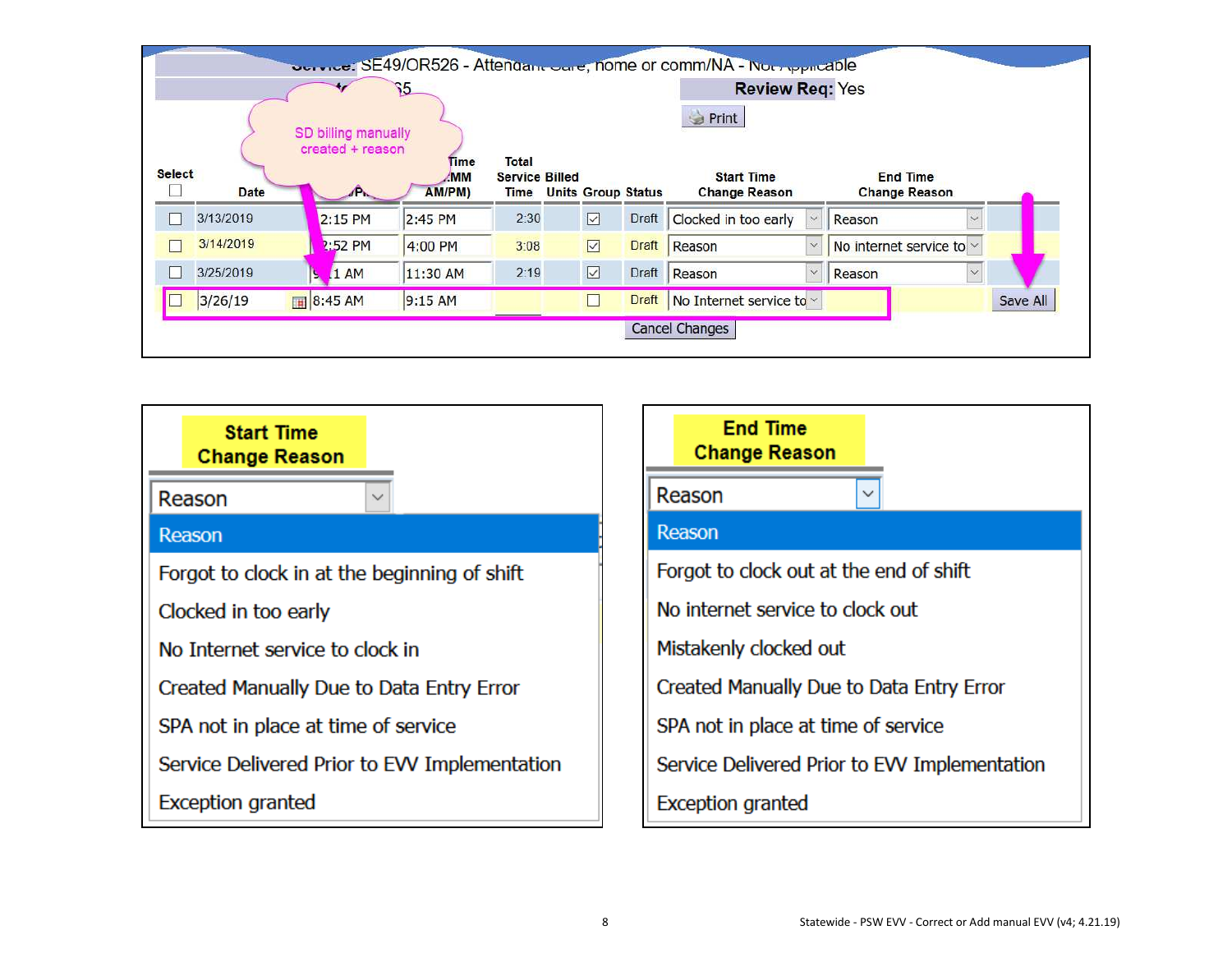|               |           |         |                                         |                        |                                       |                |                           | <b>OGIVICE: SE49/OR526 - Attendant Ogie, nome or comm/NA - Not repricable</b> |                          |          |
|---------------|-----------|---------|-----------------------------------------|------------------------|---------------------------------------|----------------|---------------------------|-------------------------------------------------------------------------------|--------------------------|----------|
|               |           |         | ۶5                                      |                        |                                       |                |                           | <b>Review Req: Yes</b>                                                        |                          |          |
|               |           |         |                                         |                        |                                       |                |                           | Print                                                                         |                          |          |
|               |           |         | SD billing manually<br>created + reason |                        |                                       |                |                           |                                                                               |                          |          |
| <b>Select</b> |           |         |                                         | Time<br>MM <sup></sup> | <b>Total</b><br><b>Service Billed</b> |                |                           | <b>Start Time</b>                                                             | <b>End Time</b>          |          |
|               | Date      |         | $\mathbb{P}$                            | AM/PM)                 | <b>Time</b>                           |                | <b>Units Group Status</b> | <b>Change Reason</b>                                                          | <b>Change Reason</b>     |          |
|               | 3/13/2019 |         | 2:15 PM                                 | 2:45 PM                | 2:30                                  |                | Draft                     | Clocked in too early<br>$\vee$                                                | Reason                   |          |
|               | 3/14/2019 |         | 2:52 PM                                 | 4:00 PM                | 3:08                                  |                | Draft                     | Reason                                                                        | No internet service to x |          |
|               | 3/25/2019 | Ŀ.      | 1AM                                     | 11:30 AM               | 2:19                                  | $\boxed{\vee}$ | Draft                     | Reason                                                                        | Reason<br>$\vee$         |          |
|               | 3/26/19   | 8:45 AM |                                         | 9:15AM                 |                                       |                | <b>Draft</b>              | No Internet service to $\sim$                                                 |                          | Save All |
|               |           |         |                                         |                        |                                       |                |                           | <b>Cancel Changes</b>                                                         |                          |          |
|               |           |         |                                         |                        |                                       |                |                           |                                                                               |                          |          |

| <b>Start Time</b><br><b>Change Reason</b>     | <b>End Time</b><br><b>Change Reason</b>       |
|-----------------------------------------------|-----------------------------------------------|
| Reason<br>$\checkmark$                        | Reason                                        |
| Reason                                        | Reason                                        |
| Forgot to clock in at the beginning of shift  | Forgot to clock out at the end of shift       |
| Clocked in too early                          | No internet service to clock out              |
| No Internet service to clock in               | Mistakenly clocked out                        |
| Created Manually Due to Data Entry Error      | Created Manually Due to Data Entry Error      |
| SPA not in place at time of service           | SPA not in place at time of service           |
| Service Delivered Prior to EVV Implementation | Service Delivered Prior to EVV Implementation |
| <b>Exception granted</b>                      | <b>Exception granted</b>                      |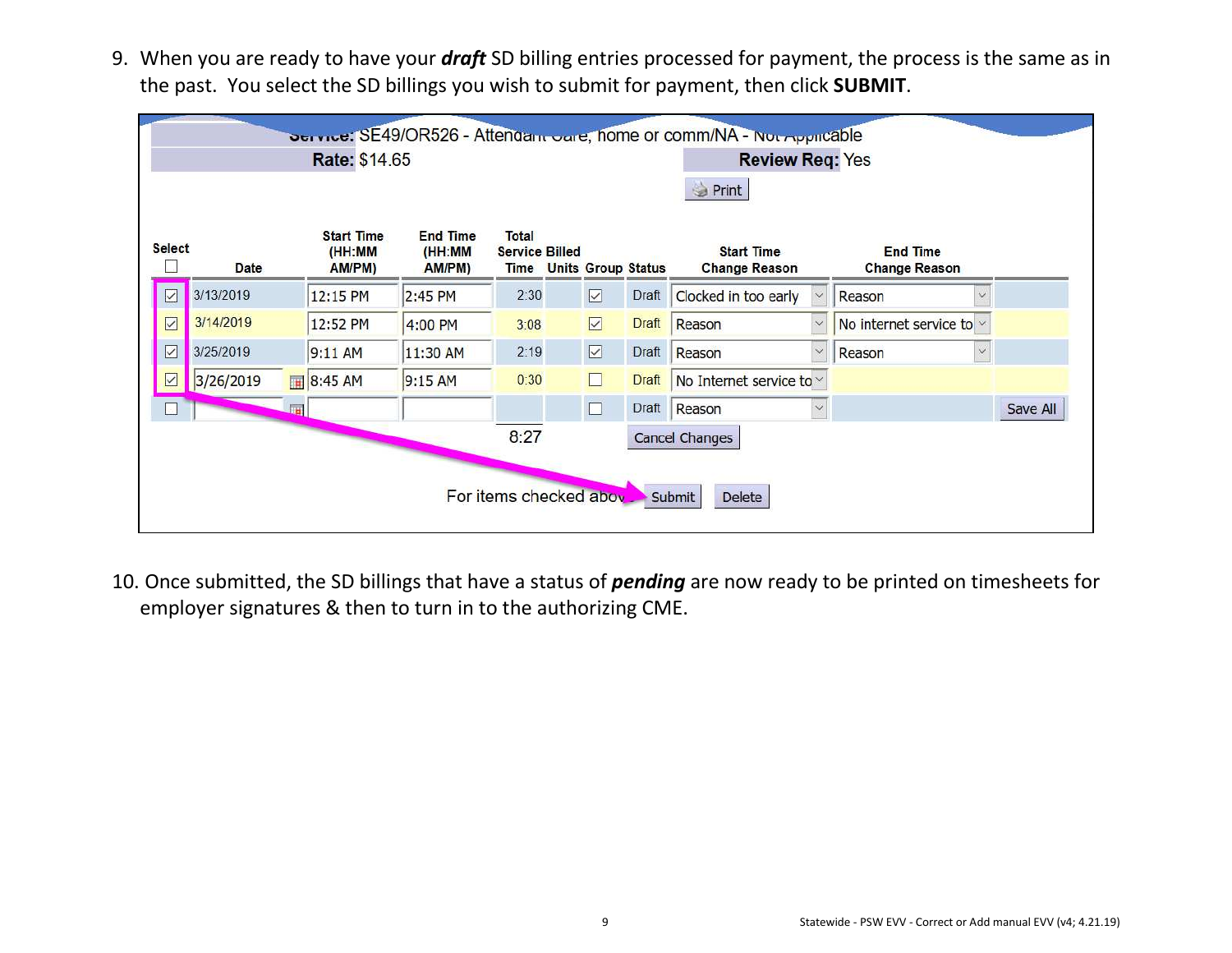9. When you are ready to have your *draft* SD billing entries processed for payment, the process is the same as in the past. You select the SD billings you wish to submit for payment, then click **SUBMIT**.

| Print<br><b>Start Time</b><br><b>End Time</b><br><b>Total</b><br><b>Select</b><br><b>Start Time</b><br><b>End Time</b><br>(HH:MM<br>(HH:MM<br><b>Service Billed</b><br>Date<br>AM/PM)<br>AM/PM)<br><b>Units Group Status</b><br><b>Change Reason</b><br><b>Change Reason</b><br><b>Time</b><br>3/13/2019<br>$\boxed{\vee}$<br>$\boxed{\triangledown}$<br>2:30<br>Clocked in too early<br>12:15 PM<br>2:45 PM<br>Draft<br>Reason<br>$\checkmark$<br>$\checkmark$<br>3/14/2019<br>$\overline{\vee}$<br>$\boxed{\vee}$<br><b>Draft</b><br>No internet service to $\sim$<br>12:52 PM<br>Reason<br>4:00 PM<br>3:08<br>$\vee$<br>$\overline{\vee}$<br>$\overline{\vee}$<br>3/25/2019<br>2:19<br>$\checkmark$<br>11:30 AM<br>9:11 AM<br>Draft<br>Reason<br>Reason<br>$\checkmark$<br>$\Box$<br>3/26/2019<br>0:30<br>$\vee$<br>8:45 AM<br>9:15 AM<br><b>Draft</b><br>No Internet service to v<br>$\Box$<br>Draft Reason<br><b>ITH</b><br>×. |  | Rate: \$14.65 |                        |  | Dervice: SE49/OR526 - Attendam Care, home or comm/NA - Nor Applicable<br><b>Review Req: Yes</b> |  |          |
|-------------------------------------------------------------------------------------------------------------------------------------------------------------------------------------------------------------------------------------------------------------------------------------------------------------------------------------------------------------------------------------------------------------------------------------------------------------------------------------------------------------------------------------------------------------------------------------------------------------------------------------------------------------------------------------------------------------------------------------------------------------------------------------------------------------------------------------------------------------------------------------------------------------------------------------|--|---------------|------------------------|--|-------------------------------------------------------------------------------------------------|--|----------|
|                                                                                                                                                                                                                                                                                                                                                                                                                                                                                                                                                                                                                                                                                                                                                                                                                                                                                                                                     |  |               |                        |  |                                                                                                 |  |          |
|                                                                                                                                                                                                                                                                                                                                                                                                                                                                                                                                                                                                                                                                                                                                                                                                                                                                                                                                     |  |               |                        |  |                                                                                                 |  |          |
|                                                                                                                                                                                                                                                                                                                                                                                                                                                                                                                                                                                                                                                                                                                                                                                                                                                                                                                                     |  |               |                        |  |                                                                                                 |  |          |
|                                                                                                                                                                                                                                                                                                                                                                                                                                                                                                                                                                                                                                                                                                                                                                                                                                                                                                                                     |  |               |                        |  |                                                                                                 |  |          |
|                                                                                                                                                                                                                                                                                                                                                                                                                                                                                                                                                                                                                                                                                                                                                                                                                                                                                                                                     |  |               |                        |  |                                                                                                 |  |          |
|                                                                                                                                                                                                                                                                                                                                                                                                                                                                                                                                                                                                                                                                                                                                                                                                                                                                                                                                     |  |               |                        |  |                                                                                                 |  |          |
|                                                                                                                                                                                                                                                                                                                                                                                                                                                                                                                                                                                                                                                                                                                                                                                                                                                                                                                                     |  |               |                        |  |                                                                                                 |  | Save All |
| <b>Cancel Changes</b>                                                                                                                                                                                                                                                                                                                                                                                                                                                                                                                                                                                                                                                                                                                                                                                                                                                                                                               |  |               | 8:27                   |  |                                                                                                 |  |          |
|                                                                                                                                                                                                                                                                                                                                                                                                                                                                                                                                                                                                                                                                                                                                                                                                                                                                                                                                     |  |               | For items checked abov |  | <b>Delete</b><br>Submit                                                                         |  |          |

10. Once submitted, the SD billings that have a status of *pending* are now ready to be printed on timesheets for employer signatures & then to turn in to the authorizing CME.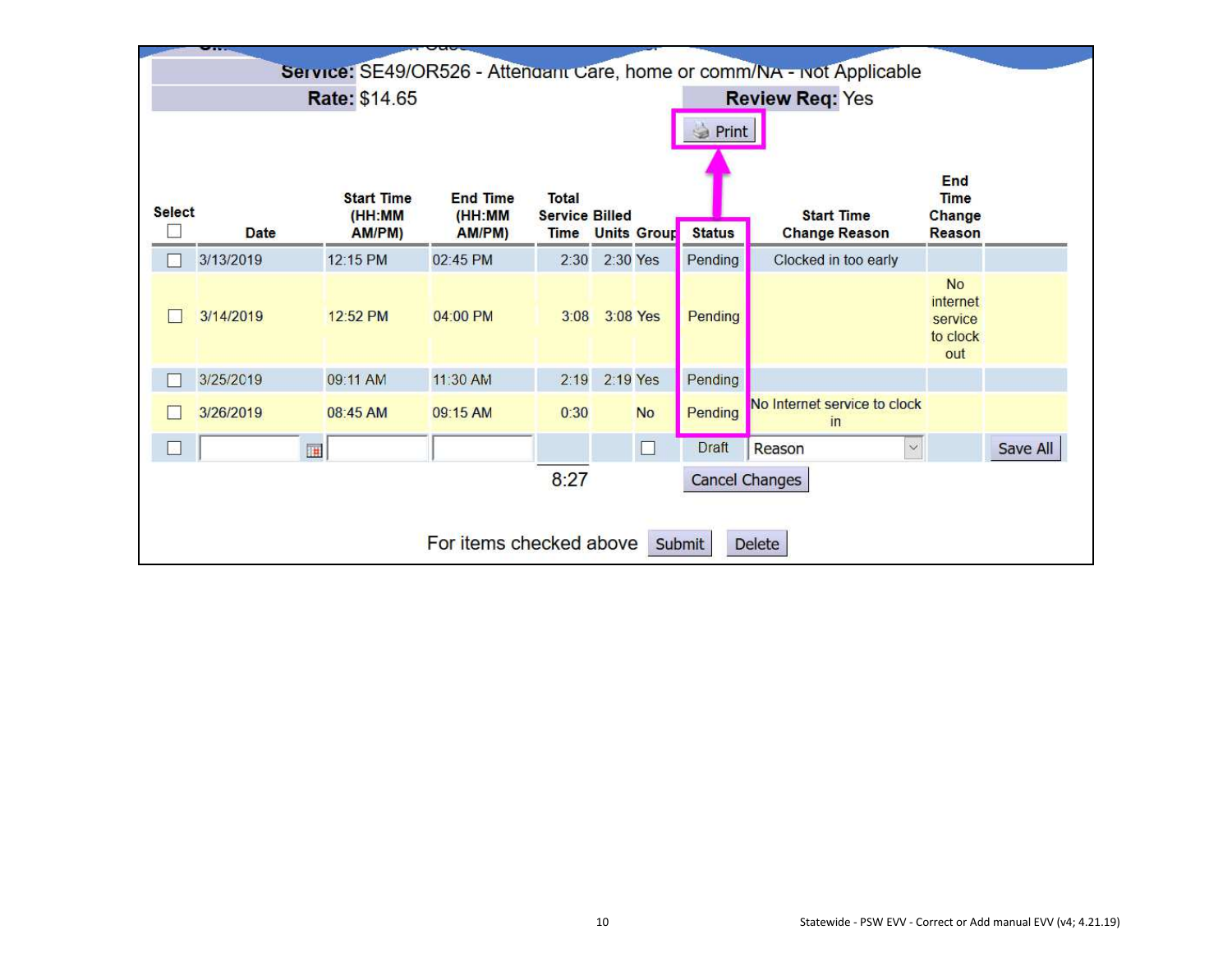|               | $\mathbf{r}$ |                                       | $\sim$ $\sim$                       |                                |          |                         |               |                                                                        |                                                     |          |
|---------------|--------------|---------------------------------------|-------------------------------------|--------------------------------|----------|-------------------------|---------------|------------------------------------------------------------------------|-----------------------------------------------------|----------|
|               |              |                                       |                                     |                                |          |                         |               | Service: SE49/OR526 - Attendant Care, home or comm/NA - Not Applicable |                                                     |          |
|               |              | Rate: \$14.65                         |                                     |                                |          |                         |               | <b>Review Req: Yes</b>                                                 |                                                     |          |
|               |              |                                       |                                     |                                |          |                         | Print<br>3    |                                                                        |                                                     |          |
| <b>Select</b> | <b>Date</b>  | <b>Start Time</b><br>(HH:MM<br>AM/PM) | <b>End Time</b><br>(HH:MM<br>AM/PM) | Total<br><b>Service Billed</b> |          | <b>Time Units Group</b> | <b>Status</b> | <b>Start Time</b><br><b>Change Reason</b>                              | End<br><b>Time</b><br>Change<br><b>Reason</b>       |          |
|               | 3/13/2019    | 12:15 PM                              | 02:45 PM                            | 2:30                           | 2:30 Yes |                         | Pending       | Clocked in too early                                                   |                                                     |          |
|               | 3/14/2019    | 12:52 PM                              | 04:00 PM                            | 3:08                           | 3:08 Yes |                         | Pending       |                                                                        | <b>No</b><br>internet<br>service<br>to clock<br>out |          |
|               | 3/25/2019    | 09:11 AM                              | 11:30 AM                            | 2:19                           | 2:19 Yes |                         | Pending       |                                                                        |                                                     |          |
|               | 3/26/2019    | 08:45 AM                              | 09:15 AM                            | 0:30                           |          | <b>No</b>               | Pending       | No Internet service to clock<br>in                                     |                                                     |          |
| k.            | 匣            |                                       |                                     |                                |          | $\Box$                  | Draft         | Reason<br>$\checkmark$                                                 |                                                     | Save All |
|               |              |                                       |                                     | 8:27                           |          |                         |               | <b>Cancel Changes</b>                                                  |                                                     |          |
|               |              |                                       | For items checked above             |                                |          |                         | Submit        | Delete                                                                 |                                                     |          |